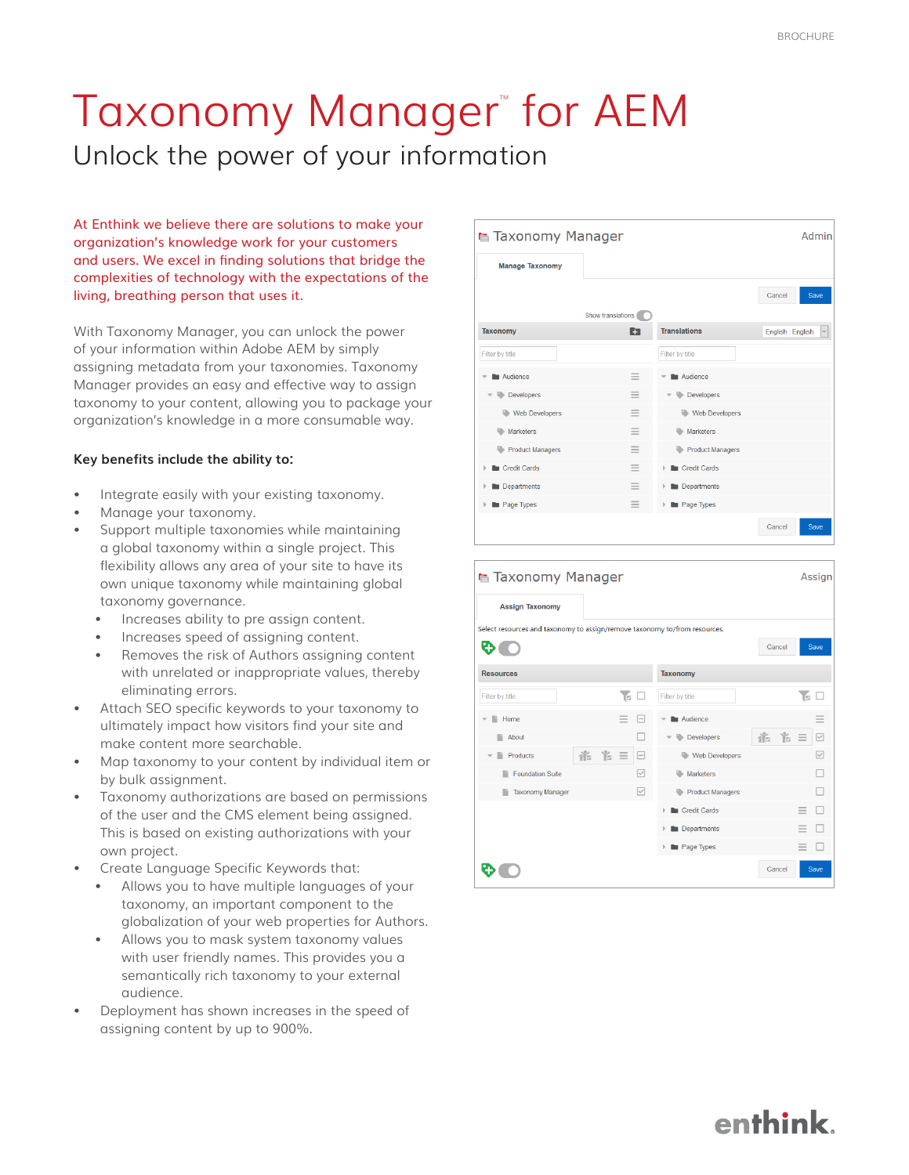## Taxonomy Manager" for AEM Unlock the power of your information

At Enthink we believe there are solutions to make your organization's knowledge work for your customers and users. We excel in finding solutions that bridge the complexities of technology with the expectations of the living, breathing person that uses it.

With Taxonomy Manager, you can unlock the power of your information within Adobe AEM by simply assigning metadata from your taxonomies. Taxonomy Manager provides an easy and effective way to assign taxonomy to your content, allowing you to package your organization's knowledge in a more consumable way.

## **Key benefits include the ability to:**

- Integrate easily with your existing taxonomy.
- Manage your taxonomy.
- Support multiple taxonomies while maintaining a global taxonomy within a single project. This flexibility allows any area of your site to have its own unique taxonomy while maintaining global taxonomy governance.
	- Increases ability to pre assign content.
	- Increases speed of assigning content.
	- Removes the risk of Authors assigning content with unrelated or inappropriate values, thereby eliminating errors.
- Attach SEO specific keywords to your taxonomy to ultimately impact how visitors find your site and make content more searchable.
- Map taxonomy to your content by individual item or by bulk assignment.
- Taxonomy authorizations are based on permissions of the user and the CMS element being assigned. This is based on existing authorizations with your own project.
- Create Language Specific Keywords that:
	- Allows you to have multiple languages of your taxonomy, an important component to the globalization of your web properties for Authors.
	- Allows you to mask system taxonomy values with user friendly names. This provides you a semantically rich taxonomy to your external audience.
- Deployment has shown increases in the speed of assigning content by up to 900%.



| ■ Taxonomy Manager                                                         | Assign                                          |  |  |  |  |  |
|----------------------------------------------------------------------------|-------------------------------------------------|--|--|--|--|--|
| <b>Assign Taxonomy</b>                                                     |                                                 |  |  |  |  |  |
| Select resources and taxonomy to assign/remove taxonomy to/from resources. |                                                 |  |  |  |  |  |
| <b>D</b>                                                                   | Save<br>Cancel                                  |  |  |  |  |  |
| <b>Resources</b>                                                           | <b>Taxonomy</b>                                 |  |  |  |  |  |
| <b>IM</b><br>Filter by title<br>⊔                                          | ъ<br>Filter by title<br>Đ                       |  |  |  |  |  |
| Home                                                                       | Audience<br>≡                                   |  |  |  |  |  |
| About<br>æ                                                                 | 怡<br>湍<br>$\equiv$<br>▽<br><b>Developers</b>    |  |  |  |  |  |
| 临 后三<br>⊟<br>Products                                                      | ⊽<br>Web Developers                             |  |  |  |  |  |
| <b>Foundation Suite</b><br>$\checkmark$                                    | <b>Marketers</b>                                |  |  |  |  |  |
| ✓<br><b>Taxonomy Manager</b>                                               | <b>Product Managers</b>                         |  |  |  |  |  |
|                                                                            | <b>Credit Cards</b><br>$\overline{\phantom{a}}$ |  |  |  |  |  |
|                                                                            | Departments                                     |  |  |  |  |  |
|                                                                            | Page Types<br>$\overline{\phantom{a}}$          |  |  |  |  |  |
|                                                                            | Save<br>Cancel                                  |  |  |  |  |  |